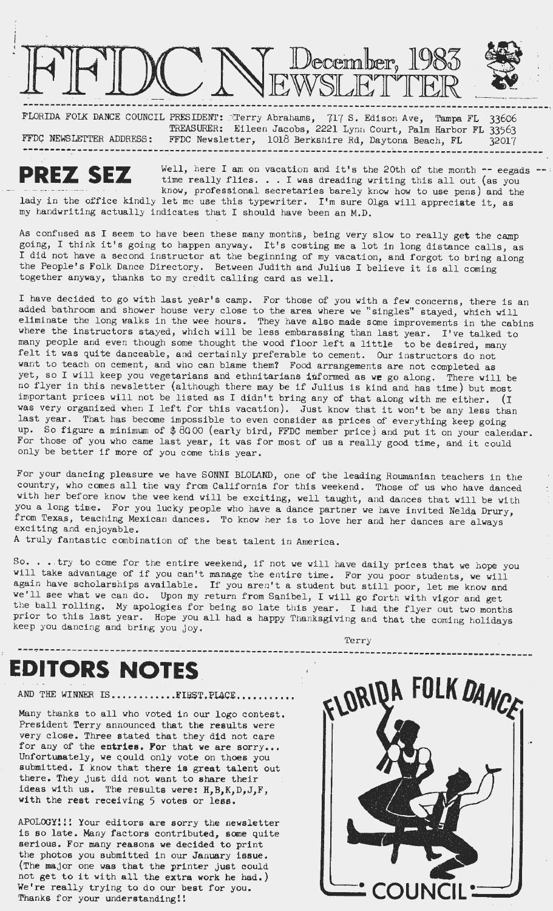

-------------------------------------------------------------------------------------------------· FLORIDA FOLK DANCE COUNCIL PRESIDENT: ./Terry Abrahams, 7,17 S. Edison Ave, Tampa FL 33606 TREASURER: Eileen Jacobs, 2221 Lynn Court, Palm Harbor FL 33563 FFDC NEWSLETTER ADDRESS: FFDC Newsletter, 1018 Berkshire Rd, Daytona Beach, FL  $32017$ ------------------------------------------------------------------------~-----------------------

**PREZ SEZ** Well, here I am on vacation and it's the 20th of the month  $-$  eegads time really flies... I was dreading writing this all out (as you time really flies. . . I was dreading writing this all out (as you know, professional secretaries barely know how to use pens) and the lady in the office kindly let me use this typewriter. I'm sure Olga will appreciate it, as my handwriting actually indicates that I should have been an M.D. -- ;

As confused as I seem to have been these many months, being very slow to really get the camp going, I think it's going to happen anyway. It's costing me a lot in long distance calls, as I did not have a second instructor at the beginning of my vacation, and forgot to bring along the People's Folk Dance Directory. Between Judith and Julius I believe it is all coming together anyway, thanks to my credit calling card as well.

I have decided to go with last year's camp. For those of you with a few concerns, there is an added bathroom and shower house very close to the area where we "singles" stayed, which will eliminate the long walks in the wee hours. They have also made some improvements in the cabins where the instructors stayed, which will be less embarassing than last year. I've talked to many people and even though some thought the wood floor left a little to be desired, many felt it was quite danceable, and certainly preferable to cement. Our instructors do not want to teach on cement, and who can blame them? Food arrangements are not completed as yet, so I will keep you vegetarians and ethnitarians informed as we go along. There will be no flyer in this newsletter (although there may be if Julius is kind and has time) but most important prices will not be listed as I didn't bring any of that along with me either. (I was very organized when I left for this vacation). Just know that it won't be any less than last year. That has become impossible to even consider as prices of everything keep going up. So figure a minimum of \$ *8000* (early bird, FFDC member price) and put it on your calendar. For those of you who came last year, it was for most of us a really good time, and it could only be better if more of you come this year.

For your dancing pleasure we have SONNI BLOLAND, one of the leading Roumanian teachers in the country, who comes all the way from California for this weekend. Those of us who have danced with her before know the wee kend will be exciting, well taught, and dances that will be with you a long time. For you lucky people who have a dance partner we have invited Nelda Drury, from Texas, teaching Mexican dances. To know her is to love her and her dances are always exciting and enjoyable.

A truly fantastic combination of the best talent in America.

So. . . try to come for the entire weekend, if not we will have daily prices that we hope you will take advantage of if you can't manage the entire time. For you poor students, we will again have scholarships available. If you aren't a student but still poor, let me know and we'll see what we can do. Upon my return from Sanibel, I will go forth with vigor and get the ball rolling. My apologies for being so late this year. I had the flyer out two months prior to this last year. Hope you all had a happy Thanksgiving and that the coming holidays keep you dancing and bring you joy.

# **EDITORS NOTES**

AND THE WINNER IS...........FIRST.PLACE..........

Many thanks to all who voted in our logo contest. President Terry announced that the results were very close. Three stated that they did not care for any of the **entries. For** that we are sorry... Unfortuaately, we qould only vote on thoes you submitted. I know that there is great talent out there. They just did not want to share their ideas with us. The results were: H,B,K,D,J,F, with the rest receiving 5 votes or less.

APOLOGY!!! Your editors are sorry the newsletter is so late. Many factors contributed, some quite serious. For many reasons we decided to print the photos you submitted in our January issue. (The major one **was** that the printer just could (The major one was that the printer just could not get to it with all the extra work he had.) We're really trying to do our best for you. The major one was that the printer just could<br>not get to it with all the extra work he had.)<br>We're really trying to do our best for you.<br>Thanks for your understanding!!



**Terry**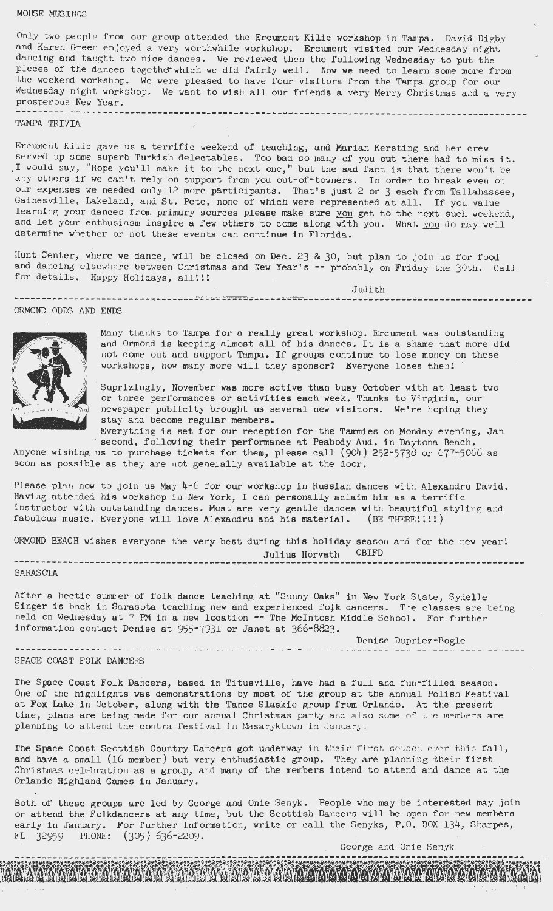#### MOIBE MUS I NGS

Only two people from our group attended the Ercument Kilic workshop in Tampa. David Digby and Karen Green enjoyed a very worthwhile workshop. Ercument visited our Wednesday night dancing and taught two nice dances. We reviewed then the following Wednesday to put the pieces of the dances together which we did fairly well. Now we need to learn some more from the weekend workshop. We were pleased to have four visitors from the Tampa group for our Wednesday night workshop. We want to wish all our friends a very Merry Christmas and a very prosperous New Year.

## ---------------------------------------------------------------------------------------------- TAMPA TRIVIA

Ercument Kilic gave us a terrific weekend of teaching, and Marian Kersting and her crew served up some superb Turkish delectables. Too bad so many of you out there had to miss it. I would say, "Hope you'll make it to the next one," but the sad fact is that there won't be any others if we can't rely on support from you out-of-towners. In order to break even on our expenses we needed only 12 more participants. That's just 2 or 3 each from Tallahassee, Gainesville, Lakeland, and St. Pete, none of which were represented at all. If you value learning your dances from primary sources please make sure you get to the next such weekend, and let your enthusiasm inspire a few others to come along with you. What you do may well determine whether or not these events can continue in Florida.

Hunt Center, where we dance, will be closed on Dec. 23 & 30, but plan to join us for food and dancing elsewhere between Christmas and New Year's -- probably on Friday the 30th. Call for details. Happy Holidays, all!!!

<sup>J</sup> udith - --- -·. -------------------------«•-------------------------------------------------------------------- ORMOND ODDS AND ENDS



Many thanks to Tampa for a really great workshop. Ercument was outstanding and Ormond is keeping almost all of his dances. It is a shame that more did not come out and support Tampa. If groups continue to lose money on these workshops, how many more will they sponsor? Everyone loses then!

Suprizingly, November was more active than busy October with at least two or three performances or activities each **week .** Thanks to Virginia, our newspaper publicity brought us several new visitors. We're hoping they stay and become regular members.

Everything is set for our reception for the Tammies on Monday evening, Jan second, following their performance at Peabody Aud. in Daytona Beach.

Anyone wishing us to purchase tickets for them, please call  $(904)$  252-5738 or 677-5066 as soon as possible as they are not generally available at the door.

Please plan now to join us May 4-6 for our workshop in Russian dances with Alexandru David. Having attended his workshop in New York, I can personally aclaim him as a terrific instructor with outstanding dances. Most are very gentle dances with beautiful styling and fabulous music. Everyone will love Alexandru and his material. (BE THERE!!!!)

ORMOND BEACH wishes everyone the very best during this holiday season and for the new year! Julius Horvath OBIFD<br>SARASOTA

After a hectic summer of folk dance teaching at "Sunny Oaks" in New York State, Sydelle Singer is back in Sarasota teaching new and experienced folk dancers. The classes are being held on Wednesday at 7 PM in **a new** location -- The McIntosh Middle School. For further information contact Denise at  $955-7331$  or Janet at  $366-8823$ .

Denise Dupriez-Bogle

#### SPACE COAST FOLK DANCERS

The Space Coast Folk Dancers, based in Titusville, have had a full and fun-filled season. One of the highlights was demonstrations by most of the group at the annual Polish Festival at Fox Lake in October, along with the Tance Slaskie group from Orlando. At the present time, plans are being made for our annual Christmas party and also some of the members are planning to attend the contra festival in Masaryktown in January.

The Space Coast Scottish Country Dancers got underway in their first season ever this fall, and have a small (16 member) but very enthusiastic group. They are planning their first Christmas celebration as a group, and many of the members intend to attend and dance at the Orlando Highland Games in January.

Both of these groups are led by George and Onie Senyk. People who may be interested may join or attend the Folkdancers at any time, but the Scottish Dancers will be open for new members early in January. For further information, write or call the Senyks, P.O. BOX 134, Sharpes, FL 32959 PHONE: (305 ) 636-2209.

A ANDREW PARTY NOY WOY WOY WANT WA

George and Onie Senyk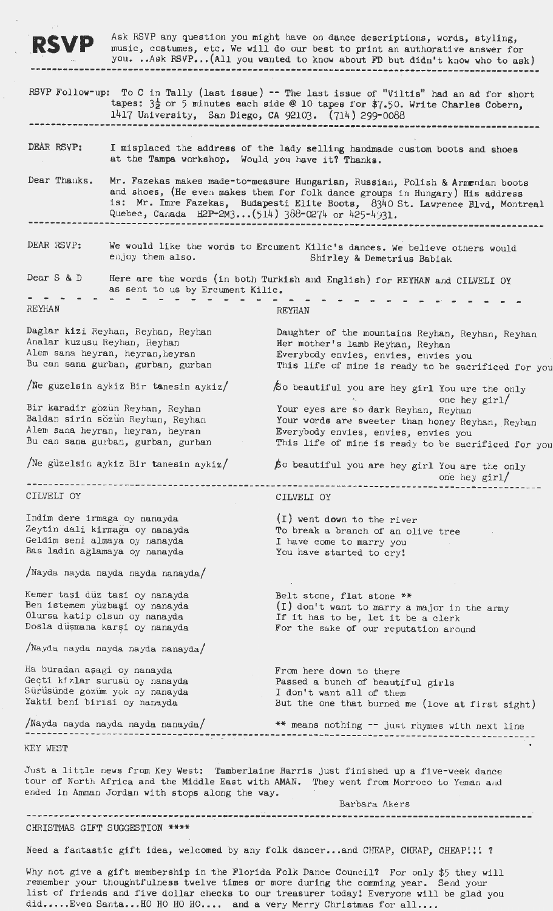**RSVP** Ask RSVP any question you might have on dance descriptions, words, styling, music, costumes, etc. We will do our best to print an authorative answer for you. .. Ask RSVP... (All you wanted to know about FD but didn't know who to ask) ----------------------------------------------------------------------------------------------

 $\ddot{\phantom{0}}$ 

|                                                                                                                                                 |                                                                                                                                                                                                                                                                                                     | RSVP Follow-up: To C in Tally (last issue) -- The last issue of "Viltis" had an ad for short<br>tapes: $3\frac{1}{2}$ or 5 minutes each side @ 10 tapes for \$7.50. Write Charles Cobern,<br>1417 University, San Diego, CA 92103. (714) 299-0088 |  |
|-------------------------------------------------------------------------------------------------------------------------------------------------|-----------------------------------------------------------------------------------------------------------------------------------------------------------------------------------------------------------------------------------------------------------------------------------------------------|---------------------------------------------------------------------------------------------------------------------------------------------------------------------------------------------------------------------------------------------------|--|
| DEAR RSVP:                                                                                                                                      | at the Tampa workshop. Would you have it? Thanks.                                                                                                                                                                                                                                                   | I misplaced the address of the lady selling handmade custom boots and shoes                                                                                                                                                                       |  |
| Dear Thanks.                                                                                                                                    | Mr. Fazekas makes made-to-measure Hungarian, Russian, Polish & Armenian boots<br>and shoes, (He even makes them for folk dance groups in Hungary) His address<br>is: Mr. Imre Fazekas, Budapesti Elite Boots, 8340 St. Lawrence Blvd, Montreal<br>Quebec, Canada H2P-2M3(514) 388-0274 or 425-4931. |                                                                                                                                                                                                                                                   |  |
| DEAR RSVP:                                                                                                                                      | We would like the words to Ercument Kilic's dances. We believe others would<br>enjoy them also.<br>Shirley & Demetrius Babiak                                                                                                                                                                       |                                                                                                                                                                                                                                                   |  |
| Dear S & D                                                                                                                                      | as sent to us by Ercument Kilic.                                                                                                                                                                                                                                                                    | Here are the words (in both Turkish and English) for REYHAN and CILVELI OY                                                                                                                                                                        |  |
| REYHAN                                                                                                                                          |                                                                                                                                                                                                                                                                                                     | REYHAN                                                                                                                                                                                                                                            |  |
| Daglar kizi Reyhan, Reyhan, Reyhan<br>Analar kuzusu Reyhan, Reyhan<br>Alem sana heyran, heyran, heyran<br>Bu can sana gurban, gurban, gurban    |                                                                                                                                                                                                                                                                                                     | Daughter of the mountains Reyhan, Reyhan, Reyhan<br>Her mother's lamb Reyhan, Reyhan<br>Everybody envies, envies, envies you<br>This life of mine is ready to be sacrificed for you                                                               |  |
|                                                                                                                                                 | Ne guzelsin aykiz Bir tanesin aykiz/                                                                                                                                                                                                                                                                | So beautiful you are hey girl You are the only                                                                                                                                                                                                    |  |
| Bir karadir gözün Reyhan, Reyhan<br>Baldan sirin sözün Reyhan, Reyhan<br>Alem sana heyran, heyran, heyran<br>Bu can sana gurban, gurban, gurban |                                                                                                                                                                                                                                                                                                     | one hey $\text{girl}/$<br>Your eyes are so dark Reyhan, Reyhan<br>Your words are sweeter than honey Reyhan, Reyhan<br>Everybody envies, envies, envies you<br>This life of mine is ready to be sacrificed for you                                 |  |
|                                                                                                                                                 | /Ne güzelsin aykiz Bir tanesin aykiz/                                                                                                                                                                                                                                                               | So beautiful you are hey girl You are the only<br>one hey girl/                                                                                                                                                                                   |  |
| CILVELI OY                                                                                                                                      |                                                                                                                                                                                                                                                                                                     | CILVELI OY                                                                                                                                                                                                                                        |  |
| Indim dere irmaga oy nanayda                                                                                                                    | Zeytin dali kirmaga oy nanayda<br>Geldim seni almaya oy nanayda<br>Bas ladin aglamaya oy nanayda                                                                                                                                                                                                    | (I) went down to the river<br>To break a branch of an olive tree<br>I have come to marry you<br>You have started to cry!                                                                                                                          |  |
|                                                                                                                                                 | /Nayda nayda nayda nayda nanayda/                                                                                                                                                                                                                                                                   |                                                                                                                                                                                                                                                   |  |
| Kemer taşi düz tasi oy nanayda<br>Ben istemem yüzbaşi oy nanayda<br>Olursa katip olsun oy nanayda<br>Dosla düşmana karşi oy nanayda             |                                                                                                                                                                                                                                                                                                     | Belt stone, flat stone **<br>(I) don't want to marry a major in the army<br>If it has to be, let it be a clerk<br>For the sake of our reputation around                                                                                           |  |
|                                                                                                                                                 | /Nayda nayda nayda nayda nanayda/                                                                                                                                                                                                                                                                   |                                                                                                                                                                                                                                                   |  |
| Ha buradan aşagi oy nanayda<br>Gecti kizlar surusu oy nanayda<br>Sürüsünde gözüm yok oy nanayda<br>Yakti beni birisi oy nanayda                 |                                                                                                                                                                                                                                                                                                     | From here down to there<br>Passed a bunch of beautiful girls<br>I don't want all of them<br>But the one that burned me (love at first sight)                                                                                                      |  |
|                                                                                                                                                 |                                                                                                                                                                                                                                                                                                     | Nayda nayda nayda nayda nanayda/ *** means nothing -- just rhymes with next line                                                                                                                                                                  |  |
| KEY WEST                                                                                                                                        |                                                                                                                                                                                                                                                                                                     |                                                                                                                                                                                                                                                   |  |
|                                                                                                                                                 | ended in Amman Jordan with stops along the way.                                                                                                                                                                                                                                                     | Just a little news from Key West: Tamberlaine Harris just finished up a five-week dance<br>tour of North Africa and the Middle East with AMAN. They went from Morroco to Yeman and<br>Barbara Akers                                               |  |
|                                                                                                                                                 | CHRISTMAS GIFT SUGGESTION ****                                                                                                                                                                                                                                                                      |                                                                                                                                                                                                                                                   |  |

Need a fantastic gift idea, welcomed by any folk dancer... and CHEAP, CHEAP, CHEAP!!! 7

Why not give a gift membership in the Florida Folk Dance Council? For only \$5 they will remember your thoughtfulness twelve times or more during the comming year. Send your list of friends and five dollar checks to our treasurer today! Everyone will be glad you did..... Even Santa... HO HO HO.... and a very Merry Christmas for all....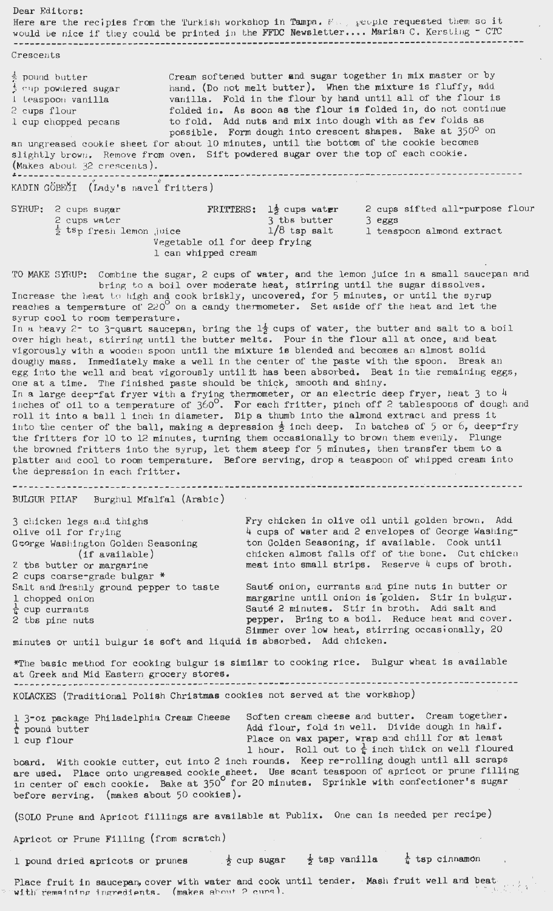Dear Editors: Here are the recipies from the Turkish workshop in Tampa. Many people requested them so it would be nice if they could be printed in the FFDC Newsletter.... Marian C. Kersting - CTC ---------------------------------------------------------------------------------------------- Crescents  $\frac{1}{2}$  pound butter  $\frac{1}{2}$  cup powdered sugar l Leaspoon vanilla 2 cups flour 1 cup chopped pecans Cream softened butter and sugar together in mix master or by hand. (Do not melt butter). When the mixture is fluffy, add vanilla. Fold in the flour by hand until all of the flour is folded in. As soon **as** the flour is folded in, do not continue to fold. Add nuts and mix into dough with as few folds as possible. Form dough into crescent shapes. Bake at 350° on an ungreased cookie sheet for about 10 minutes, until the bottom of the cookie becomes slightly brown. Remove from oven. Sift powdered sugar over the top of each cookie. (Makes about 32 crescents ). **L------------ ---------------------------------------------------------------------------------** KADIN GÖBEĞI  $(\text{Lady's novel}' \text{fritters})$ SYRUP: 2 cups sugar **FRITTERS: 1**\$ cups water 2 cups water  $\frac{1}{2}$  tsp fresh lemon juice  $\frac{1}{8}$  tsp salt 2 **cups** sifted all-purpose flour 3 **eggs**   $\frac{1}{2}$  tsp fresh lemon juice  $1/8$  tsp salt l teaspoon almond extract Vegetable oil for deep frying 1 can whipped cream TO MAKE SYRUP: Combine the sugar, 2 cups of water, and the lemon juice in a small saucepan and bring to a boil over moderate heat, stirring until the sugar dissolves. Increase the heat to high and cook briskly, uncovered, for 5 minutes, or until the syrup reaches a temperature of 220<sup>°</sup> on a candy thermometer. Set aside off the heat and let the syrup cool to room temperature. In a heavy 2<sup>-</sup> to 3-quart saucepan, bring the 1<sup> $\frac{1}{2}$ </sup> cups of water, the butter and salt to a boil over high heat, stirring until the butter melts. Pour in the flour all at once, and beat vigorously with a wooden spoon until the mixture is blended and becomes an almost solid doughy mass. Immediately make a well in the center of the paste with the spoon. Break an egg into the well and beat vigorously until it has been absorbed. Beat in the remaining eggs, one at a time. The finished paste should be thick, smooth and shiny. In a large deep-fat fryer with a frying thermometer, or an electric deep fryer, heat  $3$  to  $4$ in a large deep race right along a regimentation, if it is electric leapned in  $\frac{1}{2}$  tables from  $\frac{1}{2}$  to  $\frac{1}{2}$  and  $\frac{1}{2}$  for  $\frac{1}{2}$  and  $\frac{1}{2}$  tables from  $\frac{1}{2}$  dough and roll it into a ball 1 inch in diameter. Dip a thumb into the almond extract and press it into the center of the ball, making a depression  $\frac{1}{2}$  inch deep. In batches of 5 or 6, deep-fry the fritters for 10 to 12 minutes, turning them occasionally to brown them evenly. Plunge the browned fritters into the syrup, let them steep for 5 minutes, then transfer them to a platter and cool to room temperature. Before serving, drop a teaspoon of whipped cream into the depression in each fritter. ------------------------------------------------------~--------------------~------------------ BULGUR PILAF Burghul Mfalfal (Arabic) 3 chicken legs and thighs olive oil for frying George Washington Golden Seasoning (if available) 2 tbs butter or margarine 2 cups coarse-grade bulgar \* Salt and freshly ground pepper to taste 1 chopped onion  $\frac{1}{4}$  cup currants 2 tbs pine nuts minutes or until bulgur is soft and liquid is absorbed. Add chicken. Fry chicken in olive oil until golden brown. Add 4 cups of water and 2 envelopes of George Washington Golden Seasoning, if avai lable. Cook until chicken almost falls off of the bone. Cut chicken meat into small strips. Reserve 4 cups of broth. Sauté onion, currants and pine nuts in butter or margarine until onion is golden. Stir in bulgur. Sauté 2 minutes. Stir in broth. Add salt and pepper. Bring to a boil. Reduce heat and *cover.*  Simmer over low heat, stirring occasionally, 20 \*The basic method for cooking bulgur is similar to cooking rice. Bulgur wheat is available at Greek and Mid Eastern grocery stores. --------------------------------------------------------------------------------------------- KOLACKES (Traditi onal Polish Christmas cookies not served at the workshop) 1 3-oz package Philadelphia Cream Cheese  $\frac{1}{4}$  pound butter Soften cream cheese and butter. Cream together. Add flour, fold in **well.** Divide dough in half. Place on wax paper, wrap and chill for at least 1 hour. Roll out to  $\frac{1}{4}$  inch thick on well floured board. With cookie cutter, cut into 2 inch rounds. Keep re-rolling dough until all scraps are used. Place onto ungreased cookie sheet. Use scant teaspoon of apricot or prune filling in center of each cookie. Bake at 350<sup>°</sup> for 20 minutes. Sprinkle with confectioner's sugar before serving. (makes about 50 cookies). 1 cup flour (SOLO Prune and Apricot fillings are available at Publix. One can is needed per recipe) Apricot or Prune Filling (from scratch) 1 pound dried apricots or prunes  $\frac{1}{2}$  cup sugar  $\frac{1}{2}$  tsp vanilla  $\frac{1}{4}$  tsp cinnamon Place fruit in saucepan, cover with water and cook until tender. Mash fruit well and beat with remaining ingredients. (makes about 2 curs), I • ' *t '(* ,t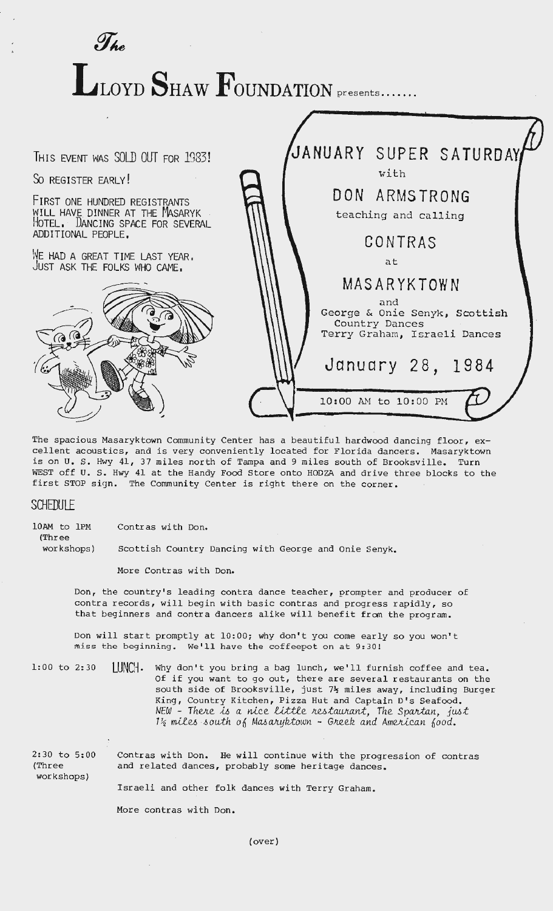LLOYD SHAW FOUNDATION **presents.......** 



The spacious Masaryktown Community Center has a beautiful hardwood dancing floor, excellent acoustics, and is very conveniently located for Florida dancers. Masaryktown is on U. S. Hwy 41, 37 miles north of Tampa and 9 miles south of Brooksville. Turn WEST off u. s. Hwy 41 at the Handy Food Store onto HODZA and drive three blocks to the first STOP sign. The Community Center is right there on the corner.

## **SCHEDULE**

(Three

10AM to 1PM Contras with Don.

 $J_{he}$ 

workshops) Scottish Country Dancing with George and Onie Senyk.

More Contras with Don.

Don, the country's leading contra dance teacher, prompter and producer of contra records, will begin with basic contras and progress rapidly, so that beginners and contra dancers alike will benefit from the program.

Don will start promptly at 10:00; why don't you come early so you won't miss the beginning. We'll have the coffeepot on at 9:30!

1:00 to 2:30 LUNCH. Why don't you bring a bag lunch, we'll furnish coffee and tea. Of if you want to go out, there are several restaurants on the south side of Brooksville, just *7½* miles away, including Burger King, Country Kitchen, Pizza Hut and Captain D's Seafood. *NEW* - *TheJte.* ,u., *a ru.c.e. 1!..,,i;Uf\_e. Jte.-6;taww.n.;t, The. SpaJdan., jU6t*  1<sup>2</sup>/<sub>2</sub> miles south of Masaryktown - Greek and American food.

2:30 to 5:00 (Three workshops) Contras with Don. He will continue with the progression of contras and related dances, probably some heritage dances.

Israeli and other folk dances with Terry Graham.

More contras with Don.

(over)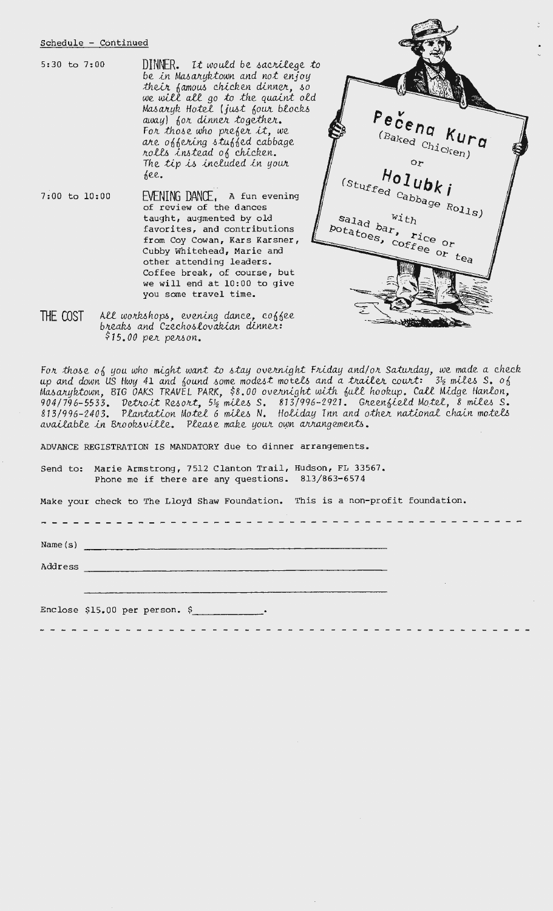## Schedule - Continued

5:30 to 7:00

 $DINNER.$  It would be sacrilege to be in Masaryktown and not enjoy their famous chicken dinner, so we will all go to the quaint old<br>Masaryk Hotel (just four blocks away) for dinner together. For those who prefer it, we are offering stuffed cabbage rolls instead of chicken. The tip is included in your see.

7:00 to 10:00  $EVENTING$  DANCE, a fun evening of review of the dances taught, augmented by old favorites, and contributions from Coy Cowan, Kars Karsner, Cubby Whitehead, Marie and other attending leaders. Coffee break, of course, but we will end at 10:00 to give you some travel time.



All workshops, evening dance, coffee<br>breaks and Czechoslovakian dinner: THE COST  $$15.00$  per person.

For those of you who might want to stay overnight Friday and/or Saturday, we made a check<br>up and down US Hwy 41 and found some modest motels and a trailer court:  $3\frac{1}{2}$  miles S. of<br>Masaryktown, BIG OAKS TRAVEL PARK, \$ misurghccount, 510 chics inhere inher, force occurright west factor to charge modes.<br>904/796-5533. Detroit Resort, 5½ miles S. 813/996-2921. Greenfield Motel, 8 miles S.<br>813/996-2403. Plantation Motel 6 miles N. Holiday In

--------------------------------

ADVANCE REGISTRATION IS MANDATORY due to dinner arrangements.

Send to: Marie Armstrong, 7512 Clanton Trail, Hudson, FL 33567. Phone me if there are any questions. 813/863-6574

Make your check to The Lloyd Shaw Foundation. This is a non-profit foundation.

Name $(s)$ 

Address

Enclose \$15.00 per person. \$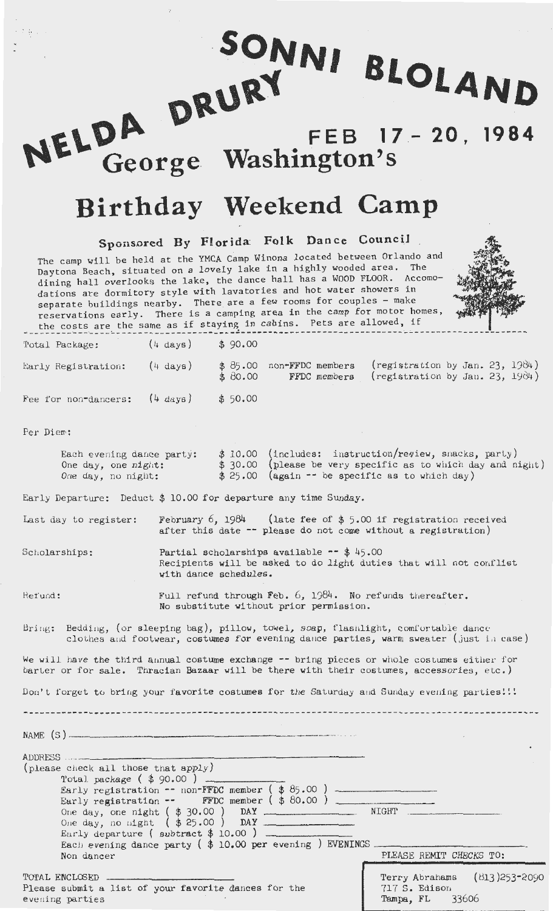NELDA DRURY **FEB 17 20, 1984 Washington's** 

SONNI BLOLAND

# **Birthday Weekend Camp**

**Sponsored By Florida: Folk Dance Council** .

The camp will be held at the YMCA Camp Winona located between Orlando and Daytona Beach, situated on a lovely lake in a highly wooded area. The dining hall overlooks the lake, the dance hall has a WOOD FLOOR. Accomodations are dormitory style with lavatories and hot water showers in separate buildings nearby. There are a few rooms for couples - make reservations early. There is a camping area in the camp for motor homes, the costs are the same as if staying in cabins. Pets are allowed, if



The costs are the same as if staying in cost...<br>Total Package:  $(4 \text{ days})$  \$90.00 Early Registration:  $(4 \text{ days})$ (4 days) \$ 90. 00 \$ 85.00 non-FFDC members<br>\$ 80.00 FFDC members  $$80.00$  $($  registration by Jan. 23, 1984) $registration by Jan. 23, 1984)$ 

Fee for non-dancers: (4 days) \$ 50.00

Per Diew:

<sup>l</sup>**l•** • I

| Each evening dance party: | \$ 10.00 (includes: instruction/regiew, snacks, party)       |
|---------------------------|--------------------------------------------------------------|
| One day, one night:       | $$30.00$ (please be very specific as to which day and night) |
| One day, no night:        | $$25.00$ (again -- be specific as to which day)              |

Early Departure: Deduct \$ 10.00 for departure any time Sunday.

Last day to register: February 6, 1984 (late fee of  $$5.00$  if registration received after this date  $-$  please do not come without a registration)

Scholarships: Partial scholarships available  $-$  \$ 45.00 Recipients will be asked to do light duties that will not conflist with dance schedules.

Hef'und : Full refund through Feb.  $6$ , 1984. No refunds thereafter. No substitute vithout prior permission .

Bring: Bedding, (or sleeping bag), pillow, towel, soap, flashlight, comfortable dance clothes and footwear, costumes for evening dance parties, warm sweater (just in case)

We will have the third annual costume exchange -- bring pieces or whole costumes either for barter or for sale. Thracian Bazaar will be there with their costumes, accessories, etc.)

Don't forget to bring your favorite costumes for the Saturday and Sunday evening parties!!!

NAME (S )------------------- ADDRESS (please check all those that apply) Total package ( \$ 90.00 ) Early registration  $-$  non-FFDC member ( $$85.00$ ) Early re~istration FFDC member ( \$ 80.00) One day, one night ( \$ 30.00 ) **DAY** \_\_\_\_\_\_\_\_ NIGHT \_\_\_\_\_\_\_\_ \_ One day, one night (\$30.00) DAY ...<br>One day, no night (\$25.00) DAY ... Eurly departure (subtract  $$10.00$ ). Each evening dance party ( $\oint$  10.00 per evening ) EVENINGS. Non dancer PLEASE REMIT CHECKS TO: TOTAL ENCLOSED. Please submit a list of your favorite dances for the evening parties Terry Abrahams (813)253-2090 717 S. Edison Tampa, FL 33606